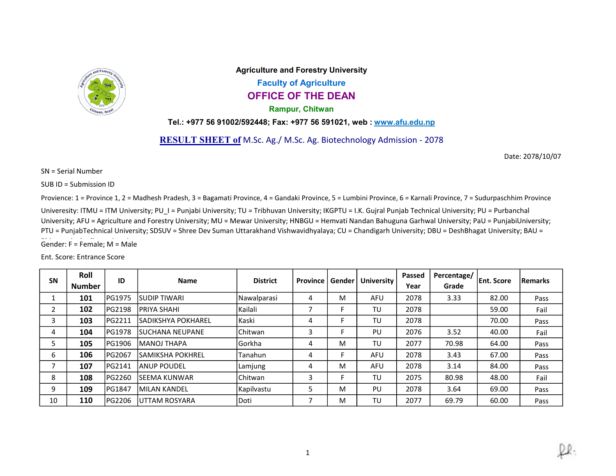

Agriculture and Forestry University Faculty of Agriculture OFFICE OF THE DEAN Rampur, Chitwan

Tel.: +977 56 91002/592448; Fax: +977 56 591021, web : www.afu.edu.np

RESULT SHEET of M.Sc. Ag./ M.Sc. Ag. Biotechnology Admission - 2078

Date: 2078/10/07

SN = Serial Number

SUB ID = Submission ID

Provience: 1 = Province 1, 2 = Madhesh Pradesh, 3 = Bagamati Province, 4 = Gandaki Province, 5 = Lumbini Province, 6 = Karnali Province, 7 = Sudurpaschhim Province

Univeresity: ITMU = ITM University; PU\_I = Punjabi University; TU = Tribhuvan University; IKGPTU = I.K. Gujral Punjab Technical University; PU = Purbanchal University; AFU = Agriculture and Forestry University; MU = Mewar University; HNBGU = Hemvati Nandan Bahuguna Garhwal University; PaU = PunjabiUniversity; Gender: F = Female; M = Male PTU = PunjabTechnical University; SDSUV = Shree Dev Suman Uttarakhand Vishwavidhyalaya; CU = Chandigarh University; DBU = DeshBhagat University; BAU =

Ent. Score: Entrance Score

| <b>SN</b> | Roll<br><b>Number</b> | ID            | <b>Name</b>         | <b>District</b> | <b>Province</b> | Gender | <b>University</b> | Passed<br>Year | Percentage/<br>Grade | <b>Ent. Score</b> | <b>Remarks</b> |
|-----------|-----------------------|---------------|---------------------|-----------------|-----------------|--------|-------------------|----------------|----------------------|-------------------|----------------|
|           | 101                   | <b>PG1975</b> | <b>SUDIP TIWARI</b> | Nawalparasi     | 4               | M      | AFU               | 2078           | 3.33                 | 82.00             | Pass           |
| ำ         | 102                   | <b>PG2198</b> | IPRIYA SHAHI        | Kailali         | ┑               |        | TU                | 2078           |                      | 59.00             | Fail           |
| 3         | 103                   | <b>PG2211</b> | ISADIKSHYA POKHAREL | Kaski           | 4               |        | TU                | 2078           |                      | 70.00             | Pass           |
| 4         | 104                   | <b>PG1978</b> | ISUCHANA NEUPANE    | l Chitwan       | 3               |        | PU                | 2076           | 3.52                 | 40.00             | Fail           |
| 5         | 105                   | PG1906        | <b>MANOJ THAPA</b>  | lGorkha         | 4               | M      | TU                | 2077           | 70.98                | 64.00             | Pass           |
| 6         | 106                   | <b>PG2067</b> | ISAMIKSHA POKHREL   | Tanahun         | 4               |        | AFU               | 2078           | 3.43                 | 67.00             | Pass           |
| ⇁         | 107                   | <b>PG2141</b> | IANUP POUDEL        | Lamjung         | 4               | M      | AFU               | 2078           | 3.14                 | 84.00             | Pass           |
| 8         | 108                   | <b>PG2260</b> | ISEEMA KUNWAR       | <b>IChitwan</b> | 3               |        | TU                | 2075           | 80.98                | 48.00             | Fail           |
| 9         | 109                   | <b>PG1847</b> | MILAN KANDEL        | Kapilvastu      | 5               | M      | PU                | 2078           | 3.64                 | 69.00             | Pass           |
| 10        | 110                   | <b>PG2206</b> | luttam ROSYARA      | Doti            | ⇁               | M      | TU                | 2077           | 69.79                | 60.00             | Pass           |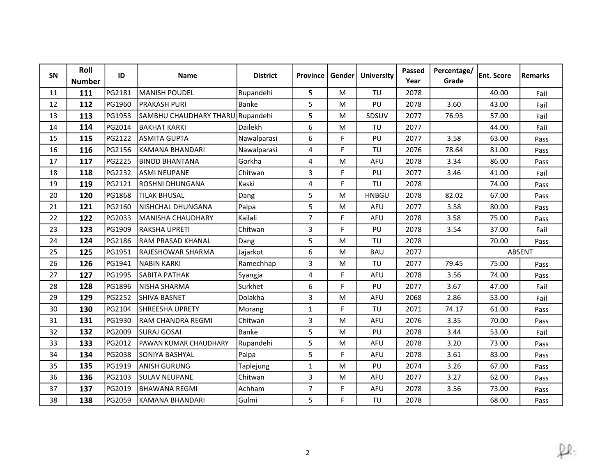| SN | Roll<br><b>Number</b> | ID     | Name                             | <b>District</b> | Province       | Gender | <b>University</b> | Passed<br>Year | Percentage/<br>Grade | <b>Ent. Score</b> | Remarks |
|----|-----------------------|--------|----------------------------------|-----------------|----------------|--------|-------------------|----------------|----------------------|-------------------|---------|
| 11 | 111                   | PG2181 | MANISH POUDEL                    | Rupandehi       | 5              | M      | TU                | 2078           |                      | 40.00             | Fail    |
| 12 | 112                   | PG1960 | <b>PRAKASH PURI</b>              | Banke           | 5              | M      | PU                | 2078           | 3.60                 | 43.00             | Fail    |
| 13 | 113                   | PG1953 | SAMBHU CHAUDHARY THARU Rupandehi |                 | 5              | M      | SDSUV             | 2077           | 76.93                | 57.00             | Fail    |
| 14 | 114                   | PG2014 | <b>BAKHAT KARKI</b>              | Dailekh         | 6              | M      | TU                | 2077           |                      | 44.00             | Fail    |
| 15 | 115                   | PG2122 | <b>ASMITA GUPTA</b>              | Nawalparasi     | 6              | F      | PU                | 2077           | 3.58                 | 63.00             | Pass    |
| 16 | 116                   | PG2156 | KAMANA BHANDARI                  | Nawalparasi     | $\overline{4}$ | F      | TU                | 2076           | 78.64                | 81.00             | Pass    |
| 17 | 117                   | PG2225 | <b>BINOD BHANTANA</b>            | Gorkha          | 4              | M      | <b>AFU</b>        | 2078           | 3.34                 | 86.00             | Pass    |
| 18 | 118                   | PG2232 | <b>ASMI NEUPANE</b>              | Chitwan         | 3              | F      | PU                | 2077           | 3.46                 | 41.00             | Fail    |
| 19 | 119                   | PG2121 | ROSHNI DHUNGANA                  | Kaski           | 4              | F      | TU                | 2078           |                      | 74.00             | Pass    |
| 20 | 120                   | PG1868 | <b>TILAK BHUSAL</b>              | Dang            | 5              | M      | <b>HNBGU</b>      | 2078           | 82.02                | 67.00             | Pass    |
| 21 | 121                   | PG2160 | NISHCHAL DHUNGANA                | Palpa           | 5              | M      | AFU               | 2077           | 3.58                 | 80.00             | Pass    |
| 22 | 122                   | PG2033 | MANISHA CHAUDHARY                | Kailali         | $\overline{7}$ | F      | AFU               | 2078           | 3.58                 | 75.00             | Pass    |
| 23 | 123                   | PG1909 | RAKSHA UPRETI                    | Chitwan         | 3              | F      | PU                | 2078           | 3.54                 | 37.00             | Fail    |
| 24 | 124                   | PG2186 | IRAM PRASAD KHANAL               | Dang            | 5              | M      | TU                | 2078           |                      | 70.00             | Pass    |
| 25 | 125                   | PG1951 | RAJESHOWAR SHARMA                | Jajarkot        | 6              | M      | <b>BAU</b>        | 2077           |                      |                   | ABSENT  |
| 26 | 126                   | PG1941 | <b>NABIN KARKI</b>               | Ramechhap       | 3              | M      | TU                | 2077           | 79.45                | 75.00             | Pass    |
| 27 | 127                   | PG1995 | ISABITA PATHAK                   | Syangja         | 4              | F      | AFU               | 2078           | 3.56                 | 74.00             | Pass    |
| 28 | 128                   | PG1896 | NISHA SHARMA                     | Surkhet         | 6              | F      | PU                | 2077           | 3.67                 | 47.00             | Fail    |
| 29 | 129                   | PG2252 | <b>SHIVA BASNET</b>              | Dolakha         | 3              | M      | <b>AFU</b>        | 2068           | 2.86                 | 53.00             | Fail    |
| 30 | 130                   | PG2104 | <b>SHREESHA UPRETY</b>           | Morang          | $\mathbf{1}$   | F      | TU                | 2071           | 74.17                | 61.00             | Pass    |
| 31 | 131                   | PG1930 | RAM CHANDRA REGMI                | Chitwan         | 3              | M      | <b>AFU</b>        | 2076           | 3.35                 | 70.00             | Pass    |
| 32 | 132                   | PG2009 | <b>SURAJ GOSAI</b>               | Banke           | 5              | M      | PU                | 2078           | 3.44                 | 53.00             | Fail    |
| 33 | 133                   | PG2012 | PAWAN KUMAR CHAUDHARY            | Rupandehi       | 5              | M      | <b>AFU</b>        | 2078           | 3.20                 | 73.00             | Pass    |
| 34 | 134                   | PG2038 | SONIYA BASHYAL                   | Palpa           | 5              | F.     | <b>AFU</b>        | 2078           | 3.61                 | 83.00             | Pass    |
| 35 | 135                   | PG1919 | <b>ANISH GURUNG</b>              | Taplejung       | $\mathbf{1}$   | M      | PU                | 2074           | 3.26                 | 67.00             | Pass    |
| 36 | 136                   | PG2103 | <b>SULAV NEUPANE</b>             | Chitwan         | $\overline{3}$ | M      | <b>AFU</b>        | 2077           | 3.27                 | 62.00             | Pass    |
| 37 | 137                   | PG2019 | IBHAWANA REGMI                   | Achham          | 7              | F      | AFU               | 2078           | 3.56                 | 73.00             | Pass    |
| 38 | 138                   | PG2059 | KAMANA BHANDARI                  | Gulmi           | 5              | F      | TU                | 2078           |                      | 68.00             | Pass    |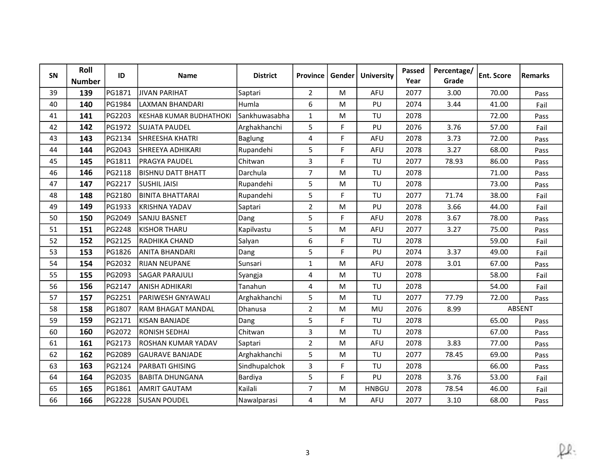| SN | Roll<br><b>Number</b> | ID     | <b>Name</b>              | <b>District</b> | <b>Province</b> | Gender | <b>University</b> | Passed<br>Year | Percentage/<br>Grade | <b>Ent. Score</b> | Remarks       |
|----|-----------------------|--------|--------------------------|-----------------|-----------------|--------|-------------------|----------------|----------------------|-------------------|---------------|
| 39 | 139                   | PG1871 | <b>JIVAN PARIHAT</b>     | Saptari         | $\overline{2}$  | M      | AFU               | 2077           | 3.00                 | 70.00             | Pass          |
| 40 | 140                   | PG1984 | LAXMAN BHANDARI          | Humla           | 6               | M      | PU                | 2074           | 3.44                 | 41.00             | Fail          |
| 41 | 141                   | PG2203 | İKESHAB KUMAR BUDHATHOKI | Sankhuwasabha   | $\mathbf{1}$    | M      | TU                | 2078           |                      | 72.00             | Pass          |
| 42 | 142                   | PG1972 | <b>SUJATA PAUDEL</b>     | Arghakhanchi    | 5               | F      | PU                | 2076           | 3.76                 | 57.00             | Fail          |
| 43 | 143                   | PG2134 | SHREESHA KHATRI          | <b>Baglung</b>  | 4               | F      | <b>AFU</b>        | 2078           | 3.73                 | 72.00             | Pass          |
| 44 | 144                   | PG2043 | <b>SHREEYA ADHIKARI</b>  | Rupandehi       | 5               | F      | AFU               | 2078           | 3.27                 | 68.00             | Pass          |
| 45 | 145                   | PG1811 | <b>PRAGYA PAUDEL</b>     | Chitwan         | 3               | F      | TU                | 2077           | 78.93                | 86.00             | Pass          |
| 46 | 146                   | PG2118 | <b>BISHNU DATT BHATT</b> | Darchula        | $\overline{7}$  | M      | TU                | 2078           |                      | 71.00             | Pass          |
| 47 | 147                   | PG2217 | <b>SUSHIL JAISI</b>      | Rupandehi       | 5               | M      | TU                | 2078           |                      | 73.00             | Pass          |
| 48 | 148                   | PG2180 | <b>BINITA BHATTARAI</b>  | Rupandehi       | 5               | F      | TU                | 2077           | 71.74                | 38.00             | Fail          |
| 49 | 149                   | PG1933 | KRISHNA YADAV            | Saptari         | $\overline{2}$  | M      | PU                | 2078           | 3.66                 | 44.00             | Fail          |
| 50 | 150                   | PG2049 | <b>SANJU BASNET</b>      | Dang            | 5               | F.     | <b>AFU</b>        | 2078           | 3.67                 | 78.00             | Pass          |
| 51 | 151                   | PG2248 | KISHOR THARU             | Kapilvastu      | 5               | M      | AFU               | 2077           | 3.27                 | 75.00             | Pass          |
| 52 | 152                   | PG2125 | RADHIKA CHAND            | Salyan          | 6               | F.     | TU                | 2078           |                      | 59.00             | Fail          |
| 53 | 153                   | PG1826 | ANITA BHANDARI           | Dang            | 5               | F      | PU                | 2074           | 3.37                 | 49.00             | Fail          |
| 54 | 154                   | PG2032 | <b>RIJAN NEUPANE</b>     | Sunsari         | $\mathbf{1}$    | M      | AFU               | 2078           | 3.01                 | 67.00             | Pass          |
| 55 | 155                   | PG2093 | <b>SAGAR PARAJULI</b>    | Syangja         | 4               | M      | TU                | 2078           |                      | 58.00             | Fail          |
| 56 | 156                   | PG2147 | <b>JANISH ADHIKARI</b>   | Tanahun         | 4               | M      | TU                | 2078           |                      | 54.00             | Fail          |
| 57 | 157                   | PG2251 | PARIWESH GNYAWALI        | Arghakhanchi    | 5               | M      | TU                | 2077           | 77.79                | 72.00             | Pass          |
| 58 | 158                   | PG1807 | RAM BHAGAT MANDAL        | Dhanusa         | $\overline{2}$  | M      | MU                | 2076           | 8.99                 |                   | <b>ABSENT</b> |
| 59 | 159                   | PG2171 | İKISAN BANJADE           | Dang            | 5               | F      | TU                | 2078           |                      | 65.00             | Pass          |
| 60 | 160                   | PG2072 | <b>RONISH SEDHAI</b>     | Chitwan         | $\overline{3}$  | M      | TU                | 2078           |                      | 67.00             | Pass          |
| 61 | 161                   | PG2173 | ROSHAN KUMAR YADAV       | Saptari         | $\overline{2}$  | M      | AFU               | 2078           | 3.83                 | 77.00             | Pass          |
| 62 | 162                   | PG2089 | <b>GAURAVE BANJADE</b>   | Arghakhanchi    | 5               | M      | TU                | 2077           | 78.45                | 69.00             | Pass          |
| 63 | 163                   | PG2124 | PARBATI GHISING          | Sindhupalchok   | 3               | F      | TU                | 2078           |                      | 66.00             | Pass          |
| 64 | 164                   | PG2035 | <b>BABITA DHUNGANA</b>   | Bardiya         | 5               | F.     | PU                | 2078           | 3.76                 | 53.00             | Fail          |
| 65 | 165                   | PG1861 | <b>AMRIT GAUTAM</b>      | Kailali         | $\overline{7}$  | M      | <b>HNBGU</b>      | 2078           | 78.54                | 46.00             | Fail          |
| 66 | 166                   | PG2228 | <b>SUSAN POUDEL</b>      | Nawalparasi     | 4               | M      | <b>AFU</b>        | 2077           | 3.10                 | 68.00             | Pass          |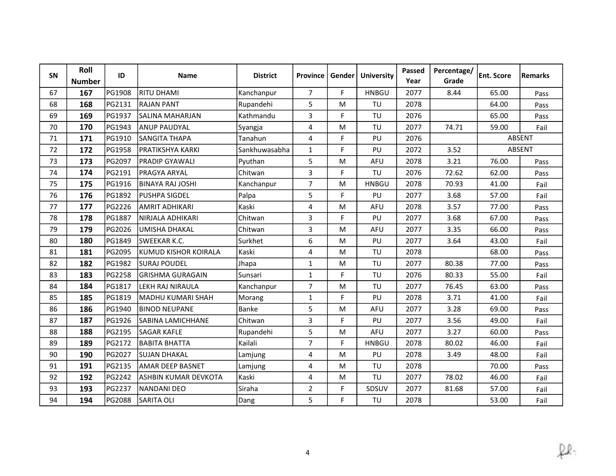| SN | Roll<br><b>Number</b> | ID     | <b>Name</b>              | <b>District</b> | Province       | Gender | <b>University</b> | <b>Passed</b><br>Year | Percentage/<br>Grade | <b>Ent. Score</b> | <b>Remarks</b> |
|----|-----------------------|--------|--------------------------|-----------------|----------------|--------|-------------------|-----------------------|----------------------|-------------------|----------------|
| 67 | 167                   | PG1908 | <b>RITU DHAMI</b>        | Kanchanpur      | $\overline{7}$ | F      | <b>HNBGU</b>      | 2077                  | 8.44                 | 65.00             | Pass           |
| 68 | 168                   | PG2131 | <b>RAJAN PANT</b>        | Rupandehi       | 5              | M      | TU                | 2078                  |                      | 64.00             | Pass           |
| 69 | 169                   | PG1937 | SALINA MAHARJAN          | Kathmandu       | 3              | F.     | TU                | 2076                  |                      | 65.00             | Pass           |
| 70 | 170                   | PG1943 | <b>ANUP PAUDYAL</b>      | Syangja         | 4              | M      | TU                | 2077                  | 74.71                | 59.00             | Fail           |
| 71 | 171                   | PG1910 | SANGITA THAPA            | Tanahun         | $\overline{4}$ | F      | PU                | 2076                  |                      |                   | ABSENT         |
| 72 | 172                   | PG1958 | lpratikshya karki        | Sankhuwasabha   | $\mathbf{1}$   | F      | PU                | 2072                  | 3.52                 |                   | <b>ABSENT</b>  |
| 73 | 173                   | PG2097 | <b>PRADIP GYAWALI</b>    | Pyuthan         | 5              | M      | AFU               | 2078                  | 3.21                 | 76.00             | Pass           |
| 74 | 174                   | PG2191 | <b>PRAGYA ARYAL</b>      | Chitwan         | 3              | F      | TU                | 2076                  | 72.62                | 62.00             | Pass           |
| 75 | 175                   | PG1916 | <b>BINAYA RAJ JOSHI</b>  | Kanchanpur      | $\overline{7}$ | M      | <b>HNBGU</b>      | 2078                  | 70.93                | 41.00             | Fail           |
| 76 | 176                   | PG1892 | <b>PUSHPA SIGDEL</b>     | Palpa           | 5              | F      | PU                | 2077                  | 3.68                 | 57.00             | Fail           |
| 77 | 177                   | PG2226 | <b>AMRIT ADHIKARI</b>    | Kaski           | $\overline{4}$ | M      | AFU               | 2078                  | 3.57                 | 77.00             | Pass           |
| 78 | 178                   | PG1887 | İNIRJALA ADHIKARI        | Chitwan         | 3              | F      | PU                | 2077                  | 3.68                 | 67.00             | Pass           |
| 79 | 179                   | PG2026 | <b>UMISHA DHAKAL</b>     | Chitwan         | 3              | M      | AFU               | 2077                  | 3.35                 | 66.00             | Pass           |
| 80 | 180                   | PG1849 | <b>SWEEKAR K.C.</b>      | Surkhet         | 6              | M      | PU                | 2077                  | 3.64                 | 43.00             | Fail           |
| 81 | 181                   | PG2095 | İKUMUD KISHOR KOIRALA    | Kaski           | 4              | M      | TU                | 2078                  |                      | 68.00             | Pass           |
| 82 | 182                   | PG1982 | <b>SURAJ POUDEL</b>      | Jhapa           | $\mathbf{1}$   | M      | TU                | 2077                  | 80.38                | 77.00             | Pass           |
| 83 | 183                   | PG2258 | lGRISHMA GURAGAIN        | Sunsari         | $\mathbf{1}$   | F      | TU                | 2076                  | 80.33                | 55.00             | Fail           |
| 84 | 184                   | PG1817 | <b>LEKH RAJ NIRAULA</b>  | Kanchanpur      | $\overline{7}$ | M      | TU                | 2077                  | 76.45                | 63.00             | Pass           |
| 85 | 185                   | PG1819 | İMADHU KUMARI SHAH       | Morang          | $\mathbf{1}$   | F      | PU                | 2078                  | 3.71                 | 41.00             | Fail           |
| 86 | 186                   | PG1940 | <b>BINOD NEUPANE</b>     | Banke           | 5              | M      | AFU               | 2077                  | 3.28                 | 69.00             | Pass           |
| 87 | 187                   | PG1926 | <b>SABINA LAMICHHANE</b> | Chitwan         | 3              | F      | PU                | 2077                  | 3.56                 | 49.00             | Fail           |
| 88 | 188                   | PG2195 | <b>SAGAR KAFLE</b>       | Rupandehi       | 5              | M      | <b>AFU</b>        | 2077                  | 3.27                 | 60.00             | Pass           |
| 89 | 189                   | PG2172 | <b>BABITA BHATTA</b>     | Kailali         | $\overline{7}$ | F      | <b>HNBGU</b>      | 2078                  | 80.02                | 46.00             | Fail           |
| 90 | 190                   | PG2027 | <b>SUJAN DHAKAL</b>      | Lamjung         | 4              | M      | PU                | 2078                  | 3.49                 | 48.00             | Fail           |
| 91 | 191                   | PG2135 | <b>AMAR DEEP BASNET</b>  | Lamjung         | 4              | M      | TU                | 2078                  |                      | 70.00             | Pass           |
| 92 | 192                   | PG2242 | ASHBIN KUMAR DEVKOTA     | Kaski           | 4              | M      | TU                | 2077                  | 78.02                | 46.00             | Fail           |
| 93 | 193                   | PG2237 | <b>NANDANI DEO</b>       | Siraha          | $\overline{2}$ | F      | SDSUV             | 2077                  | 81.68                | 57.00             | Fail           |
| 94 | 194                   | PG2088 | <b>SARITA OLI</b>        | Dang            | 5              | F      | TU                | 2078                  |                      | 53.00             | Fail           |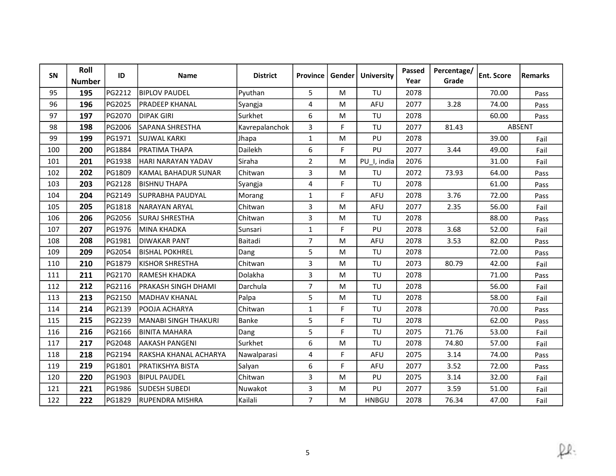| SN  | Roll<br><b>Number</b> | ID     | <b>Name</b>                 | <b>District</b> | Province       | Gender | <b>University</b> | Passed<br>Year | Percentage/<br>Grade | <b>Ent. Score</b> | Remarks |
|-----|-----------------------|--------|-----------------------------|-----------------|----------------|--------|-------------------|----------------|----------------------|-------------------|---------|
| 95  | 195                   | PG2212 | <b>BIPLOV PAUDEL</b>        | Pyuthan         | 5              | M      | TU                | 2078           |                      | 70.00             | Pass    |
| 96  | 196                   | PG2025 | <b>PRADEEP KHANAL</b>       | Syangja         | 4              | M      | <b>AFU</b>        | 2077           | 3.28                 | 74.00             | Pass    |
| 97  | 197                   | PG2070 | <b>DIPAK GIRI</b>           | Surkhet         | 6              | M      | TU                | 2078           |                      | 60.00             | Pass    |
| 98  | 198                   | PG2006 | SAPANA SHRESTHA             | Kavrepalanchok  | $\overline{3}$ | F      | TU                | 2077           | 81.43                |                   | ABSENT  |
| 99  | 199                   | PG1971 | <b>SUJWAL KARKI</b>         | Jhapa           | $\mathbf{1}$   | M      | PU                | 2078           |                      | 39.00             | Fail    |
| 100 | 200                   | PG1884 | <b>IPRATIMA THAPA</b>       | Dailekh         | 6              | F      | PU                | 2077           | 3.44                 | 49.00             | Fail    |
| 101 | 201                   | PG1938 | HARI NARAYAN YADAV          | Siraha          | $\overline{2}$ | M      | PU_I, india       | 2076           |                      | 31.00             | Fail    |
| 102 | 202                   | PG1809 | KAMAL BAHADUR SUNAR         | Chitwan         | 3              | M      | TU                | 2072           | 73.93                | 64.00             | Pass    |
| 103 | 203                   | PG2128 | <b>BISHNU THAPA</b>         | Syangja         | 4              | F      | TU                | 2078           |                      | 61.00             | Pass    |
| 104 | 204                   | PG2149 | <b>SUPRABHA PAUDYAL</b>     | Morang          | $\mathbf{1}$   | F.     | AFU               | 2078           | 3.76                 | 72.00             | Pass    |
| 105 | 205                   | PG1818 | NARAYAN ARYAL               | Chitwan         | 3              | M      | AFU               | 2077           | 2.35                 | 56.00             | Fail    |
| 106 | 206                   | PG2056 | <b>SURAJ SHRESTHA</b>       | Chitwan         | 3              | M      | TU                | 2078           |                      | 88.00             | Pass    |
| 107 | 207                   | PG1976 | MINA KHADKA                 | Sunsari         | $\mathbf{1}$   | F      | PU                | 2078           | 3.68                 | 52.00             | Fail    |
| 108 | 208                   | PG1981 | <b>DIWAKAR PANT</b>         | Baitadi         | $\overline{7}$ | M      | <b>AFU</b>        | 2078           | 3.53                 | 82.00             | Pass    |
| 109 | 209                   | PG2054 | IBISHAL POKHREL             | Dang            | 5              | M      | TU                | 2078           |                      | 72.00             | Pass    |
| 110 | 210                   | PG1879 | <b>KISHOR SHRESTHA</b>      | Chitwan         | 3              | M      | TU                | 2073           | 80.79                | 42.00             | Fail    |
| 111 | 211                   | PG2170 | lramesh khadka              | Dolakha         | 3              | M      | TU                | 2078           |                      | 71.00             | Pass    |
| 112 | 212                   | PG2116 | <b>IPRAKASH SINGH DHAMI</b> | Darchula        | $\overline{7}$ | M      | TU                | 2078           |                      | 56.00             | Fail    |
| 113 | 213                   | PG2150 | lMADHAV KHANAL              | Palpa           | 5              | M      | TU                | 2078           |                      | 58.00             | Fail    |
| 114 | 214                   | PG2139 | POOJA ACHARYA               | Chitwan         | $\mathbf{1}$   | F      | TU                | 2078           |                      | 70.00             | Pass    |
| 115 | 215                   | PG2239 | İMANABI SINGH THAKURI       | Banke           | 5              | F      | TU                | 2078           |                      | 62.00             | Pass    |
| 116 | 216                   | PG2166 | <b>BINITA MAHARA</b>        | Dang            | 5              | F      | TU                | 2075           | 71.76                | 53.00             | Fail    |
| 117 | 217                   | PG2048 | <b>AAKASH PANGENI</b>       | Surkhet         | 6              | M      | TU                | 2078           | 74.80                | 57.00             | Fail    |
| 118 | 218                   | PG2194 | RAKSHA KHANAL ACHARYA       | Nawalparasi     | 4              | F.     | AFU               | 2075           | 3.14                 | 74.00             | Pass    |
| 119 | 219                   | PG1801 | PRATIKSHYA BISTA            | Salyan          | 6              | F      | AFU               | 2077           | 3.52                 | 72.00             | Pass    |
| 120 | 220                   | PG1903 | <b>BIPUL PAUDEL</b>         | Chitwan         | 3              | M      | PU                | 2075           | 3.14                 | 32.00             | Fail    |
| 121 | 221                   | PG1986 | lsudesh subedi              | Nuwakot         | 3              | M      | PU                | 2077           | 3.59                 | 51.00             | Fail    |
| 122 | 222                   | PG1829 | <b>RUPENDRA MISHRA</b>      | Kailali         | $\overline{7}$ | M      | <b>HNBGU</b>      | 2078           | 76.34                | 47.00             | Fail    |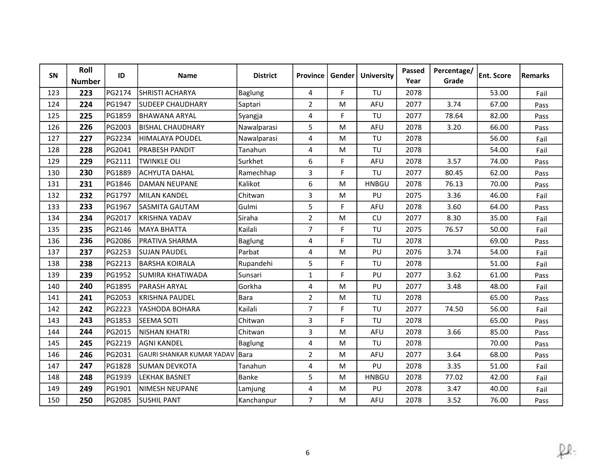| SN  | Roll<br><b>Number</b> | ID     | <b>Name</b>                       | <b>District</b> | <b>Province</b> | Gender | <b>University</b> | Passed<br>Year | Percentage/<br>Grade | <b>Ent. Score</b> | <b>Remarks</b> |
|-----|-----------------------|--------|-----------------------------------|-----------------|-----------------|--------|-------------------|----------------|----------------------|-------------------|----------------|
| 123 | 223                   | PG2174 | <b>SHRISTI ACHARYA</b>            | Baglung         | 4               | F      | TU                | 2078           |                      | 53.00             | Fail           |
| 124 | 224                   | PG1947 | <b>SUDEEP CHAUDHARY</b>           | Saptari         | $\overline{2}$  | M      | <b>AFU</b>        | 2077           | 3.74                 | 67.00             | Pass           |
| 125 | 225                   | PG1859 | IBHAWANA ARYAL                    | Syangja         | 4               | F      | TU                | 2077           | 78.64                | 82.00             | Pass           |
| 126 | 226                   | PG2003 | IBISHAL CHAUDHARY                 | Nawalparasi     | 5               | M      | AFU               | 2078           | 3.20                 | 66.00             | Pass           |
| 127 | 227                   | PG2234 | HIMALAYA POUDEL                   | Nawalparasi     | 4               | M      | TU                | 2078           |                      | 56.00             | Fail           |
| 128 | 228                   | PG2041 | <b>PRABESH PANDIT</b>             | Tanahun         | 4               | M      | TU                | 2078           |                      | 54.00             | Fail           |
| 129 | 229                   | PG2111 | <b>TWINKLE OLI</b>                | Surkhet         | 6               | F      | <b>AFU</b>        | 2078           | 3.57                 | 74.00             | Pass           |
| 130 | 230                   | PG1889 | <b>ACHYUTA DAHAL</b>              | Ramechhap       | 3               | F      | TU                | 2077           | 80.45                | 62.00             | Pass           |
| 131 | 231                   | PG1846 | IDAMAN NEUPANE                    | Kalikot         | 6               | M      | <b>HNBGU</b>      | 2078           | 76.13                | 70.00             | Pass           |
| 132 | 232                   | PG1797 | MILAN KANDEL                      | Chitwan         | 3               | M      | PU                | 2075           | 3.36                 | 46.00             | Fail           |
| 133 | 233                   | PG1967 | SASMITA GAUTAM                    | Gulmi           | 5               | F.     | AFU               | 2078           | 3.60                 | 64.00             | Pass           |
| 134 | 234                   | PG2017 | İKRISHNA YADAV                    | Siraha          | $\overline{2}$  | M      | CU                | 2077           | 8.30                 | 35.00             | Fail           |
| 135 | 235                   | PG2146 | MAYA BHATTA                       | Kailali         | $\overline{7}$  | F.     | TU                | 2075           | 76.57                | 50.00             | Fail           |
| 136 | 236                   | PG2086 | <b>PRATIVA SHARMA</b>             | <b>Baglung</b>  | $\overline{4}$  | F.     | TU                | 2078           |                      | 69.00             | Pass           |
| 137 | 237                   | PG2253 | <b>SUJAN PAUDEL</b>               | Parbat          | 4               | M      | PU                | 2076           | 3.74                 | 54.00             | Fail           |
| 138 | 238                   | PG2213 | <b>BARSHA KOIRALA</b>             | Rupandehi       | 5               | F      | TU                | 2078           |                      | 51.00             | Fail           |
| 139 | 239                   | PG1952 | SUMIRA KHATIWADA                  | Sunsari         | $\mathbf{1}$    | F      | PU                | 2077           | 3.62                 | 61.00             | Pass           |
| 140 | 240                   | PG1895 | <b>PARASH ARYAL</b>               | Gorkha          | 4               | M      | PU                | 2077           | 3.48                 | 48.00             | Fail           |
| 141 | 241                   | PG2053 | KRISHNA PAUDEL                    | Bara            | $\overline{2}$  | M      | TU                | 2078           |                      | 65.00             | Pass           |
| 142 | 242                   | PG2223 | YASHODA BOHARA                    | Kailali         | $\overline{7}$  | F.     | TU                | 2077           | 74.50                | 56.00             | Fail           |
| 143 | 243                   | PG1853 | <b>SEEMA SOTI</b>                 | Chitwan         | 3               | F.     | TU                | 2078           |                      | 65.00             | Pass           |
| 144 | 244                   | PG2015 | NISHAN KHATRI                     | Chitwan         | 3               | M      | <b>AFU</b>        | 2078           | 3.66                 | 85.00             | Pass           |
| 145 | 245                   | PG2219 | <b>AGNI KANDEL</b>                | <b>Baglung</b>  | 4               | M      | TU                | 2078           |                      | 70.00             | Pass           |
| 146 | 246                   | PG2031 | <b>IGAURI SHANKAR KUMAR YADAV</b> | l Bara          | $\overline{2}$  | M      | AFU               | 2077           | 3.64                 | 68.00             | Pass           |
| 147 | 247                   | PG1828 | SUMAN DEVKOTA                     | Tanahun         | 4               | M      | PU                | 2078           | 3.35                 | 51.00             | Fail           |
| 148 | 248                   | PG1939 | <b>LEKHAK BASNET</b>              | Banke           | 5               | M      | <b>HNBGU</b>      | 2078           | 77.02                | 42.00             | Fail           |
| 149 | 249                   | PG1901 | INIMESH NEUPANE                   | Lamjung         | 4               | M      | PU                | 2078           | 3.47                 | 40.00             | Fail           |
| 150 | 250                   | PG2085 | <b>SUSHIL PANT</b>                | Kanchanpur      | $\overline{7}$  | M      | AFU               | 2078           | 3.52                 | 76.00             | Pass           |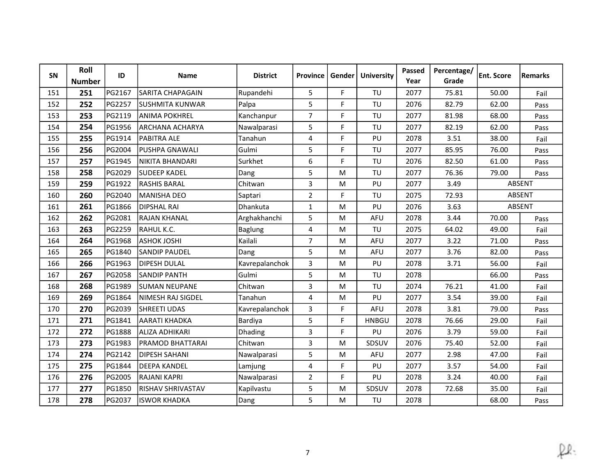| <b>SN</b> | Roll<br><b>Number</b> | ID            | <b>Name</b>             | <b>District</b> | <b>Province</b> | Gender l | <b>University</b> | Passed<br>Year | Percentage/<br>Grade | <b>Ent. Score</b> | <b>Remarks</b> |
|-----------|-----------------------|---------------|-------------------------|-----------------|-----------------|----------|-------------------|----------------|----------------------|-------------------|----------------|
| 151       | 251                   | PG2167        | <b>SARITA CHAPAGAIN</b> | Rupandehi       | 5               | F        | TU                | 2077           | 75.81                | 50.00             | Fail           |
| 152       | 252                   | PG2257        | <b>SUSHMITA KUNWAR</b>  | Palpa           | 5               | F        | TU                | 2076           | 82.79                | 62.00             | Pass           |
| 153       | 253                   | PG2119        | <b>ANIMA POKHREL</b>    | Kanchanpur      | $\overline{7}$  | F        | TU                | 2077           | 81.98                | 68.00             | Pass           |
| 154       | 254                   | PG1956        | IARCHANA ACHARYA        | Nawalparasi     | 5               | F        | TU                | 2077           | 82.19                | 62.00             | Pass           |
| 155       | 255                   | PG1914        | <b>PABITRA ALE</b>      | Tanahun         | 4               | F.       | PU                | 2078           | 3.51                 | 38.00             | Fail           |
| 156       | 256                   | PG2004        | <b>PUSHPA GNAWALI</b>   | Gulmi           | 5               | F        | TU                | 2077           | 85.95                | 76.00             | Pass           |
| 157       | 257                   | PG1945        | NIKITA BHANDARI         | Surkhet         | 6               | F        | TU                | 2076           | 82.50                | 61.00             | Pass           |
| 158       | 258                   | PG2029        | <b>SUDEEP KADEL</b>     | Dang            | 5               | M        | TU                | 2077           | 76.36                | 79.00             | Pass           |
| 159       | 259                   | PG1922        | <b>RASHIS BARAL</b>     | Chitwan         | 3               | M        | PU                | 2077           | 3.49                 |                   | ABSENT         |
| 160       | 260                   | PG2040        | MANISHA DEO             | Saptari         | $\overline{2}$  | F        | TU                | 2075           | 72.93                |                   | ABSENT         |
| 161       | 261                   | PG1866        | <b>DIPSHAL RAI</b>      | Dhankuta        | $\mathbf{1}$    | M        | PU                | 2076           | 3.63                 |                   | ABSENT         |
| 162       | 262                   | PG2081        | <b>RAJAN KHANAL</b>     | Arghakhanchi    | 5               | M        | AFU               | 2078           | 3.44                 | 70.00             | Pass           |
| 163       | 263                   | PG2259        | RAHUL K.C.              | <b>Baglung</b>  | 4               | M        | TU                | 2075           | 64.02                | 49.00             | Fail           |
| 164       | 264                   | PG1968        | <b>ASHOK JOSHI</b>      | Kailali         | $\overline{7}$  | M        | <b>AFU</b>        | 2077           | 3.22                 | 71.00             | Pass           |
| 165       | 265                   | PG1840        | lSANDIP PAUDEL          | Dang            | 5               | M        | AFU               | 2077           | 3.76                 | 82.00             | Pass           |
| 166       | 266                   | PG1963        | DIPESH DULAL            | Kavrepalanchok  | 3               | M        | PU                | 2078           | 3.71                 | 56.00             | Fail           |
| 167       | 267                   | PG2058        | <b>SANDIP PANTH</b>     | Gulmi           | 5               | M        | TU                | 2078           |                      | 66.00             | Pass           |
| 168       | 268                   | PG1989        | <b>SUMAN NEUPANE</b>    | Chitwan         | $\mathbf{3}$    | M        | TU                | 2074           | 76.21                | 41.00             | Fail           |
| 169       | 269                   | <b>PG1864</b> | lnimesh raj sigdel      | Tanahun         | 4               | M        | PU                | 2077           | 3.54                 | 39.00             | Fail           |
| 170       | 270                   | PG2039        | <b>SHREETI UDAS</b>     | Kavrepalanchok  | 3               | F        | <b>AFU</b>        | 2078           | 3.81                 | 79.00             | Pass           |
| 171       | 271                   | PG1841        | AARATI KHADKA           | Bardiya         | 5               | F.       | <b>HNBGU</b>      | 2078           | 76.66                | 29.00             | Fail           |
| 172       | 272                   | PG1888        | <b>ALIZA ADHIKARI</b>   | Dhading         | 3               | F.       | PU                | 2076           | 3.79                 | 59.00             | Fail           |
| 173       | 273                   | PG1983        | IPRAMOD BHATTARAI       | Chitwan         | 3               | M        | SDSUV             | 2076           | 75.40                | 52.00             | Fail           |
| 174       | 274                   | PG2142        | <b>DIPESH SAHANI</b>    | Nawalparasi     | 5               | M        | AFU               | 2077           | 2.98                 | 47.00             | Fail           |
| 175       | 275                   | PG1844        | <b>DEEPA KANDEL</b>     | Lamjung         | 4               | F.       | PU                | 2077           | 3.57                 | 54.00             | Fail           |
| 176       | 276                   | PG2005        | <b>RAJANI KAPRI</b>     | Nawalparasi     | $\overline{2}$  | F.       | PU                | 2078           | 3.24                 | 40.00             | Fail           |
| 177       | 277                   | PG1850        | IRISHAV SHRIVASTAV      | Kapilvastu      | 5               | M        | SDSUV             | 2078           | 72.68                | 35.00             | Fail           |
| 178       | 278                   | PG2037        | <b>ISWOR KHADKA</b>     | Dang            | 5               | M        | TU                | 2078           |                      | 68.00             | Pass           |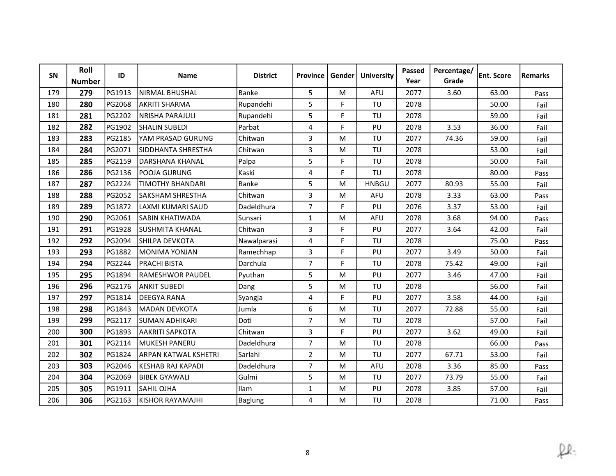| SN  | Roll<br><b>Number</b> | ID     | <b>Name</b>                 | <b>District</b> | <b>Province</b> | Gender | <b>University</b> | Passed<br>Year | Percentage/<br>Grade | <b>Ent. Score</b> | Remarks |
|-----|-----------------------|--------|-----------------------------|-----------------|-----------------|--------|-------------------|----------------|----------------------|-------------------|---------|
| 179 | 279                   | PG1913 | <b>NIRMAL BHUSHAL</b>       | Banke           | 5               | M      | AFU               | 2077           | 3.60                 | 63.00             | Pass    |
| 180 | 280                   | PG2068 | <b>AKRITI SHARMA</b>        | Rupandehi       | 5               | F      | TU                | 2078           |                      | 50.00             | Fail    |
| 181 | 281                   | PG2202 | NRISHA PARAJULI             | Rupandehi       | 5               | F      | TU                | 2078           |                      | 59.00             | Fail    |
| 182 | 282                   | PG1902 | <b>SHALIN SUBEDI</b>        | Parbat          | 4               | F      | PU                | 2078           | 3.53                 | 36.00             | Fail    |
| 183 | 283                   | PG2185 | YAM PRASAD GURUNG           | Chitwan         | 3               | M      | TU                | 2077           | 74.36                | 59.00             | Fail    |
| 184 | 284                   | PG2071 | <b>ISIDDHANTA SHRESTHA</b>  | Chitwan         | 3               | M      | TU                | 2078           |                      | 53.00             | Fail    |
| 185 | 285                   | PG2159 | DARSHANA KHANAL             | Palpa           | 5               | F      | TU                | 2078           |                      | 50.00             | Fail    |
| 186 | 286                   | PG2136 | POOJA GURUNG                | Kaski           | 4               | F.     | TU                | 2078           |                      | 80.00             | Pass    |
| 187 | 287                   | PG2224 | <b>TIMOTHY BHANDARI</b>     | Banke           | 5               | M      | <b>HNBGU</b>      | 2077           | 80.93                | 55.00             | Fail    |
| 188 | 288                   | PG2052 | <b>SAKSHAM SHRESTHA</b>     | Chitwan         | 3               | M      | AFU               | 2078           | 3.33                 | 63.00             | Pass    |
| 189 | 289                   | PG1872 | LAXMI KUMARI SAUD           | Dadeldhura      | $\overline{7}$  | F      | PU                | 2076           | 3.37                 | 53.00             | Fail    |
| 190 | 290                   | PG2061 | <b>ISABIN KHATIWADA</b>     | Sunsari         | $\mathbf{1}$    | M      | AFU               | 2078           | 3.68                 | 94.00             | Pass    |
| 191 | 291                   | PG1928 | <b>SUSHMITA KHANAL</b>      | Chitwan         | 3               | F      | PU                | 2077           | 3.64                 | 42.00             | Fail    |
| 192 | 292                   | PG2094 | <b>SHILPA DEVKOTA</b>       | Nawalparasi     | 4               | F      | TU                | 2078           |                      | 75.00             | Pass    |
| 193 | 293                   | PG1882 | İMONIMA YONJAN              | Ramechhap       | 3               | F.     | PU                | 2077           | 3.49                 | 50.00             | Fail    |
| 194 | 294                   | PG2244 | <b>PRACHI BISTA</b>         | Darchula        | $\overline{7}$  | F.     | TU                | 2078           | 75.42                | 49.00             | Fail    |
| 195 | 295                   | PG1894 | IRAMESHWOR PAUDEL           | Pyuthan         | 5               | M      | PU                | 2077           | 3.46                 | 47.00             | Fail    |
| 196 | 296                   | PG2176 | <b>ANKIT SUBEDI</b>         | Dang            | 5               | M      | TU                | 2078           |                      | 56.00             | Fail    |
| 197 | 297                   | PG1814 | <b>DEEGYA RANA</b>          | Syangja         | 4               | F.     | PU                | 2077           | 3.58                 | 44.00             | Fail    |
| 198 | 298                   | PG1843 | MADAN DEVKOTA               | Jumla           | 6               | M      | TU                | 2077           | 72.88                | 55.00             | Fail    |
| 199 | 299                   | PG2117 | İSUMAN ADHIKARI             | Doti            | $\overline{7}$  | M      | TU                | 2078           |                      | 57.00             | Fail    |
| 200 | 300                   | PG1893 | <b>AAKRITI SAPKOTA</b>      | Chitwan         | $\overline{3}$  | F.     | PU                | 2077           | 3.62                 | 49.00             | Fail    |
| 201 | 301                   | PG2114 | MUKESH PANERU               | Dadeldhura      | $\overline{7}$  | M      | TU                | 2078           |                      | 66.00             | Pass    |
| 202 | 302                   | PG1824 | <b>ARPAN KATWAL KSHETRI</b> | Sarlahi         | $\overline{2}$  | M      | TU                | 2077           | 67.71                | 53.00             | Fail    |
| 203 | 303                   | PG2046 | <b>KESHAB RAJ KAPADI</b>    | Dadeldhura      | $\overline{7}$  | M      | <b>AFU</b>        | 2078           | 3.36                 | 85.00             | Pass    |
| 204 | 304                   | PG2069 | <b>BIBEK GYAWALI</b>        | Gulmi           | 5               | M      | TU                | 2077           | 73.79                | 55.00             | Fail    |
| 205 | 305                   | PG1911 | ISAHIL OJHA                 | Ilam            | 1               | M      | PU                | 2078           | 3.85                 | 57.00             | Fail    |
| 206 | 306                   | PG2163 | KISHOR RAYAMAJHI            | Baglung         | 4               | M      | TU                | 2078           |                      | 71.00             | Pass    |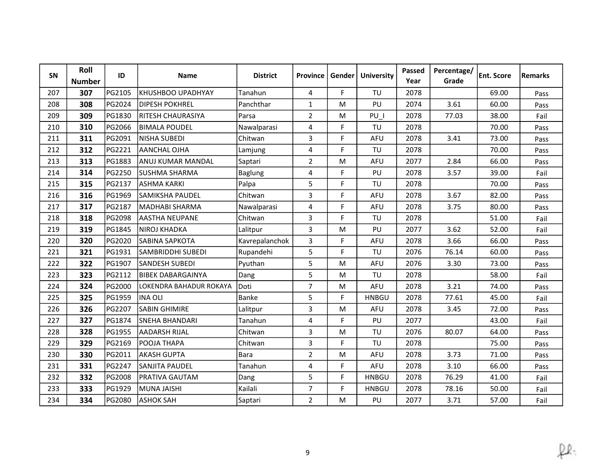| <b>SN</b> | Roll<br><b>Number</b> | ID     | <b>Name</b>              | <b>District</b> | <b>Province</b> | Gender l | <b>University</b> | Passed<br>Year | Percentage/<br>Grade | <b>Ent. Score</b> | <b>Remarks</b> |
|-----------|-----------------------|--------|--------------------------|-----------------|-----------------|----------|-------------------|----------------|----------------------|-------------------|----------------|
| 207       | 307                   | PG2105 | IKHUSHBOO UPADHYAY       | Tanahun         | 4               | F        | TU                | 2078           |                      | 69.00             | Pass           |
| 208       | 308                   | PG2024 | <b>DIPESH POKHREL</b>    | Panchthar       | $\mathbf{1}$    | M        | PU                | 2074           | 3.61                 | 60.00             | Pass           |
| 209       | 309                   | PG1830 | RITESH CHAURASIYA        | Parsa           | $\overline{2}$  | M        | PU I              | 2078           | 77.03                | 38.00             | Fail           |
| 210       | 310                   | PG2066 | IBIMALA POUDEL           | Nawalparasi     | 4               | F        | TU                | 2078           |                      | 70.00             | Pass           |
| 211       | 311                   | PG2091 | NISHA SUBEDI             | Chitwan         | 3               | F.       | <b>AFU</b>        | 2078           | 3.41                 | 73.00             | Pass           |
| 212       | 312                   | PG2221 | AANCHAL OJHA             | Lamjung         | 4               | F        | TU                | 2078           |                      | 70.00             | Pass           |
| 213       | 313                   | PG1883 | ANUJ KUMAR MANDAL        | Saptari         | $\overline{2}$  | M        | <b>AFU</b>        | 2077           | 2.84                 | 66.00             | Pass           |
| 214       | 314                   | PG2250 | <b>ISUSHMA SHARMA</b>    | Baglung         | 4               | F        | PU                | 2078           | 3.57                 | 39.00             | Fail           |
| 215       | 315                   | PG2137 | <b>ASHMA KARKI</b>       | Palpa           | 5               | F        | TU                | 2078           |                      | 70.00             | Pass           |
| 216       | 316                   | PG1969 | <b>SAMIKSHA PAUDEL</b>   | Chitwan         | 3               | F.       | <b>AFU</b>        | 2078           | 3.67                 | 82.00             | Pass           |
| 217       | 317                   | PG2187 | MADHABI SHARMA           | Nawalparasi     | 4               | F        | <b>AFU</b>        | 2078           | 3.75                 | 80.00             | Pass           |
| 218       | 318                   | PG2098 | <b>JAASTHA NEUPANE</b>   | Chitwan         | 3               | F.       | TU                | 2078           |                      | 51.00             | Fail           |
| 219       | 319                   | PG1845 | NIROJ KHADKA             | Lalitpur        | 3               | M        | PU                | 2077           | 3.62                 | 52.00             | Fail           |
| 220       | 320                   | PG2020 | <b>SABINA SAPKOTA</b>    | Kavrepalanchok  | 3               | F        | <b>AFU</b>        | 2078           | 3.66                 | 66.00             | Pass           |
| 221       | 321                   | PG1931 | ISAMBRIDDHI SUBEDI       | Rupandehi       | 5               | F        | TU                | 2076           | 76.14                | 60.00             | Pass           |
| 222       | 322                   | PG1907 | <b>ISANDESH SUBEDI</b>   | Pyuthan         | 5               | м        | AFU               | 2076           | 3.30                 | 73.00             | Pass           |
| 223       | 323                   | PG2112 | IBIBEK DABARGAINYA       | Dang            | 5               | M        | TU                | 2078           |                      | 58.00             | Fail           |
| 224       | 324                   | PG2000 | llokendra bahadur rokaya | Doti            | $\overline{7}$  | м        | AFU               | 2078           | 3.21                 | 74.00             | Pass           |
| 225       | 325                   | PG1959 | INA OLI                  | Banke           | 5               | F.       | <b>HNBGU</b>      | 2078           | 77.61                | 45.00             | Fail           |
| 226       | 326                   | PG2207 | <b>SABIN GHIMIRE</b>     | Lalitpur        | 3               | M        | AFU               | 2078           | 3.45                 | 72.00             | Pass           |
| 227       | 327                   | PG1874 | ISNEHA BHANDARI          | Tanahun         | 4               | F        | PU                | 2077           |                      | 43.00             | Fail           |
| 228       | 328                   | PG1955 | <b>AADARSH RIJAL</b>     | Chitwan         | 3               | M        | TU                | 2076           | 80.07                | 64.00             | Pass           |
| 229       | 329                   | PG2169 | POOJA THAPA              | Chitwan         | 3               | F.       | TU                | 2078           |                      | 75.00             | Pass           |
| 230       | 330                   | PG2011 | <b>AKASH GUPTA</b>       | Bara            | $\overline{2}$  | M        | AFU               | 2078           | 3.73                 | 71.00             | Pass           |
| 231       | 331                   | PG2247 | <b>SANJITA PAUDEL</b>    | Tanahun         | 4               | F.       | AFU               | 2078           | 3.10                 | 66.00             | Pass           |
| 232       | 332                   | PG2008 | <b>PRATIVA GAUTAM</b>    | Dang            | 5               | F.       | <b>HNBGU</b>      | 2078           | 76.29                | 41.00             | Fail           |
| 233       | 333                   | PG1929 | <b>IMUNA JAISHI</b>      | Kailali         | $\overline{7}$  | F        | <b>HNBGU</b>      | 2078           | 78.16                | 50.00             | Fail           |
| 234       | 334                   | PG2080 | <b>ASHOK SAH</b>         | Saptari         | $\overline{2}$  | M        | PU                | 2077           | 3.71                 | 57.00             | Fail           |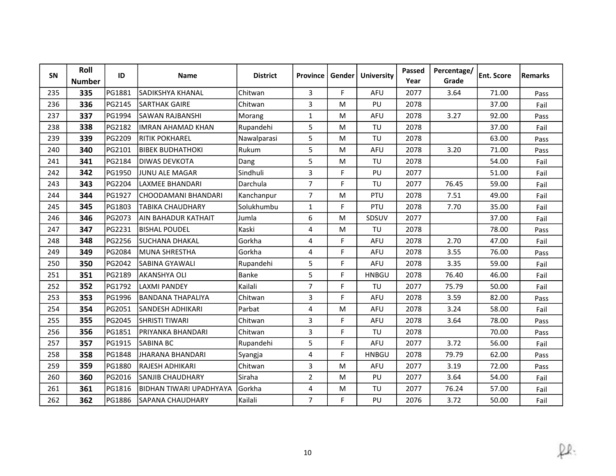| SN  | Roll<br><b>Number</b> | ID     | <b>Name</b>              | <b>District</b> | <b>Province</b> | Gender | <b>University</b> | Passed<br>Year | Percentage/<br>Grade | <b>Ent. Score</b> | <b>Remarks</b> |
|-----|-----------------------|--------|--------------------------|-----------------|-----------------|--------|-------------------|----------------|----------------------|-------------------|----------------|
| 235 | 335                   | PG1881 | SADIKSHYA KHANAL         | Chitwan         | 3               | F.     | <b>AFU</b>        | 2077           | 3.64                 | 71.00             | Pass           |
| 236 | 336                   | PG2145 | <b>SARTHAK GAIRE</b>     | Chitwan         | 3               | M      | PU                | 2078           |                      | 37.00             | Fail           |
| 237 | 337                   | PG1994 | SAWAN RAJBANSHI          | Morang          | $\mathbf{1}$    | M      | <b>AFU</b>        | 2078           | 3.27                 | 92.00             | Pass           |
| 238 | 338                   | PG2182 | lIMRAN AHAMAD KHAN       | Rupandehi       | 5               | M      | TU                | 2078           |                      | 37.00             | Fail           |
| 239 | 339                   | PG2209 | <b>RITIK POKHAREL</b>    | Nawalparasi     | 5               | M      | TU                | 2078           |                      | 63.00             | Pass           |
| 240 | 340                   | PG2101 | <b>BIBEK BUDHATHOKI</b>  | Rukum           | 5               | M      | <b>AFU</b>        | 2078           | 3.20                 | 71.00             | Pass           |
| 241 | 341                   | PG2184 | IDIWAS DEVKOTA           | Dang            | 5               | M      | TU                | 2078           |                      | 54.00             | Fail           |
| 242 | 342                   | PG1950 | JUNU ALE MAGAR           | Sindhuli        | 3               | F      | PU                | 2077           |                      | 51.00             | Fail           |
| 243 | 343                   | PG2204 | LAXMEE BHANDARI          | Darchula        | $\overline{7}$  | F      | TU                | 2077           | 76.45                | 59.00             | Fail           |
| 244 | 344                   | PG1927 | İCHOODAMANI BHANDARI     | Kanchanpur      | $\overline{7}$  | M      | PTU               | 2078           | 7.51                 | 49.00             | Fail           |
| 245 | 345                   | PG1803 | <b>TABIKA CHAUDHARY</b>  | Solukhumbu      | $\mathbf{1}$    | F      | PTU               | 2078           | 7.70                 | 35.00             | Fail           |
| 246 | 346                   | PG2073 | lain bahadur kathait     | Jumla           | 6               | M      | SDSUV             | 2077           |                      | 37.00             | Fail           |
| 247 | 347                   | PG2231 | <b>BISHAL POUDEL</b>     | Kaski           | 4               | M      | TU                | 2078           |                      | 78.00             | Pass           |
| 248 | 348                   | PG2256 | <b>SUCHANA DHAKAL</b>    | Gorkha          | 4               | F      | AFU               | 2078           | 2.70                 | 47.00             | Fail           |
| 249 | 349                   | PG2084 | MUNA SHRESTHA            | Gorkha          | 4               | F.     | AFU               | 2078           | 3.55                 | 76.00             | Pass           |
| 250 | 350                   | PG2042 | <b>SABINA GYAWALI</b>    | Rupandehi       | 5               | F      | <b>AFU</b>        | 2078           | 3.35                 | 59.00             | Fail           |
| 251 | 351                   | PG2189 | AKANSHYA OLI             | Banke           | 5               | F.     | <b>HNBGU</b>      | 2078           | 76.40                | 46.00             | Fail           |
| 252 | 352                   | PG1792 | <b>LAXMI PANDEY</b>      | Kailali         | $\overline{7}$  | F.     | TU                | 2077           | 75.79                | 50.00             | Fail           |
| 253 | 353                   | PG1996 | IBANDANA THAPALIYA       | Chitwan         | 3               | F      | <b>AFU</b>        | 2078           | 3.59                 | 82.00             | Pass           |
| 254 | 354                   | PG2051 | <b>ISANDESH ADHIKARI</b> | Parbat          | 4               | M      | AFU               | 2078           | 3.24                 | 58.00             | Fail           |
| 255 | 355                   | PG2045 | <b>SHRISTI TIWARI</b>    | Chitwan         | 3               | F      | <b>AFU</b>        | 2078           | 3.64                 | 78.00             | Pass           |
| 256 | 356                   | PG1851 | PRIYANKA BHANDARI        | Chitwan         | $\mathbf{3}$    | F      | TU                | 2078           |                      | 70.00             | Pass           |
| 257 | 357                   | PG1915 | <b>SABINA BC</b>         | Rupandehi       | 5               | F      | <b>AFU</b>        | 2077           | 3.72                 | 56.00             | Fail           |
| 258 | 358                   | PG1848 | JHARANA BHANDARI         | Syangja         | 4               | F.     | <b>HNBGU</b>      | 2078           | 79.79                | 62.00             | Pass           |
| 259 | 359                   | PG1880 | RAJESH ADHIKARI          | Chitwan         | 3               | M      | <b>AFU</b>        | 2077           | 3.19                 | 72.00             | Pass           |
| 260 | 360                   | PG2016 | SANJIB CHAUDHARY         | Siraha          | $\overline{2}$  | M      | PU                | 2077           | 3.64                 | 54.00             | Fail           |
| 261 | 361                   | PG1816 | BIDHAN TIWARI UPADHYAYA  | Gorkha          | 4               | M      | TU                | 2077           | 76.24                | 57.00             | Fail           |
| 262 | 362                   | PG1886 | SAPANA CHAUDHARY         | Kailali         | $\overline{7}$  | F      | PU                | 2076           | 3.72                 | 50.00             | Fail           |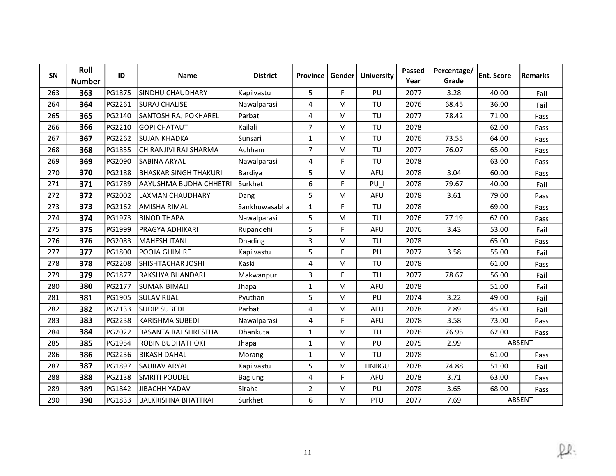| <b>SN</b> | Roll<br><b>Number</b> | ID            | <b>Name</b>                 | <b>District</b> | <b>Province</b> | Gender l | <b>University</b> | Passed<br>Year | Percentage/<br>Grade | <b>Ent. Score</b> | <b>Remarks</b> |
|-----------|-----------------------|---------------|-----------------------------|-----------------|-----------------|----------|-------------------|----------------|----------------------|-------------------|----------------|
| 263       | 363                   | PG1875        | <b>SINDHU CHAUDHARY</b>     | Kapilvastu      | 5               | F        | PU                | 2077           | 3.28                 | 40.00             | Fail           |
| 264       | 364                   | PG2261        | <b>SURAJ CHALISE</b>        | Nawalparasi     | 4               | M        | TU                | 2076           | 68.45                | 36.00             | Fail           |
| 265       | 365                   | PG2140        | SANTOSH RAJ POKHAREL        | Parbat          | 4               | M        | TU                | 2077           | 78.42                | 71.00             | Pass           |
| 266       | 366                   | PG2210        | <b>GOPI CHATAUT</b>         | Kailali         | $\overline{7}$  | M        | TU                | 2078           |                      | 62.00             | Pass           |
| 267       | 367                   | PG2262        | İSUJAN KHADKA               | Sunsari         | $\mathbf{1}$    | M        | TU                | 2076           | 73.55                | 64.00             | Pass           |
| 268       | 368                   | PG1855        | CHIRANJIVI RAJ SHARMA       | Achham          | $\overline{7}$  | M        | TU                | 2077           | 76.07                | 65.00             | Pass           |
| 269       | 369                   | PG2090        | SABINA ARYAL                | Nawalparasi     | $\overline{4}$  | F        | TU                | 2078           |                      | 63.00             | Pass           |
| 270       | 370                   | PG2188        | BHASKAR SINGH THAKURI       | Bardiya         | 5               | M        | <b>AFU</b>        | 2078           | 3.04                 | 60.00             | Pass           |
| 271       | 371                   | PG1789        | AAYUSHMA BUDHA CHHETRI      | Surkhet         | 6               | F        | PU I              | 2078           | 79.67                | 40.00             | Fail           |
| 272       | 372                   | PG2002        | LAXMAN CHAUDHARY            | Dang            | 5               | M        | <b>AFU</b>        | 2078           | 3.61                 | 79.00             | Pass           |
| 273       | 373                   | PG2162        | <b>AMISHA RIMAL</b>         | Sankhuwasabha   | $\mathbf{1}$    | F        | TU                | 2078           |                      | 69.00             | Pass           |
| 274       | 374                   | PG1973        | IBINOD THAPA                | Nawalparasi     | 5               | M        | TU                | 2076           | 77.19                | 62.00             | Pass           |
| 275       | 375                   | PG1999        | PRAGYA ADHIKARI             | Rupandehi       | 5               | F        | AFU               | 2076           | 3.43                 | 53.00             | Fail           |
| 276       | 376                   | PG2083        | MAHESH ITANI                | Dhading         | 3               | м        | TU                | 2078           |                      | 65.00             | Pass           |
| 277       | 377                   | PG1800        | lpooja Ghimire              | Kapilvastu      | 5               | F        | PU                | 2077           | 3.58                 | 55.00             | Fail           |
| 278       | 378                   | PG2208        | ISHISHTACHAR JOSHI          | Kaski           | 4               | м        | TU                | 2078           |                      | 61.00             | Pass           |
| 279       | 379                   | PG1877        | RAKSHYA BHANDARI            | Makwanpur       | 3               | F        | TU                | 2077           | 78.67                | 56.00             | Fail           |
| 280       | 380                   | PG2177        | <b>SUMAN BIMALI</b>         | Jhapa           | $\mathbf{1}$    | M        | <b>AFU</b>        | 2078           |                      | 51.00             | Fail           |
| 281       | 381                   | PG1905        | <b>SULAV RIJAL</b>          | Pyuthan         | 5               | M        | PU                | 2074           | 3.22                 | 49.00             | Fail           |
| 282       | 382                   | PG2133        | <b>SUDIP SUBEDI</b>         | Parbat          | 4               | M        | AFU               | 2078           | 2.89                 | 45.00             | Fail           |
| 283       | 383                   | PG2238        | KARISHMA SUBEDI             | Nawalparasi     | 4               | F        | AFU               | 2078           | 3.58                 | 73.00             | Pass           |
| 284       | 384                   | PG2022        | <b>BASANTA RAJ SHRESTHA</b> | Dhankuta        | $\mathbf{1}$    | M        | TU                | 2076           | 76.95                | 62.00             | Pass           |
| 285       | 385                   | <b>PG1954</b> | IROBIN BUDHATHOKI           | Jhapa           | $\mathbf{1}$    | M        | PU                | 2075           | 2.99                 |                   | <b>ABSENT</b>  |
| 286       | 386                   | PG2236        | <b>BIKASH DAHAL</b>         | Morang          | $\mathbf{1}$    | M        | TU                | 2078           |                      | 61.00             | Pass           |
| 287       | 387                   | PG1897        | <b>SAURAV ARYAL</b>         | Kapilvastu      | 5               | M        | <b>HNBGU</b>      | 2078           | 74.88                | 51.00             | Fail           |
| 288       | 388                   | PG2138        | <b>SMRITI POUDEL</b>        | Baglung         | 4               | F.       | AFU               | 2078           | 3.71                 | 63.00             | Pass           |
| 289       | 389                   | PG1842        | <b>JIBACHH YADAV</b>        | Siraha          | $\overline{2}$  | M        | PU                | 2078           | 3.65                 | 68.00             | Pass           |
| 290       | 390                   | PG1833        | <b>BALKRISHNA BHATTRAI</b>  | Surkhet         | 6               | M        | PTU               | 2077           | 7.69                 |                   | ABSENT         |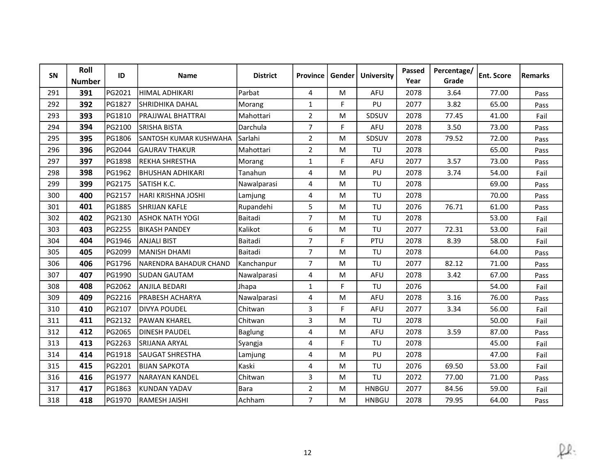| SN  | Roll<br><b>Number</b> | ID     | <b>Name</b>             | <b>District</b> | Province       | Gender | <b>University</b> | Passed<br>Year | Percentage/<br>Grade | <b>Ent. Score</b> | <b>Remarks</b> |
|-----|-----------------------|--------|-------------------------|-----------------|----------------|--------|-------------------|----------------|----------------------|-------------------|----------------|
| 291 | 391                   | PG2021 | HIMAL ADHIKARI          | Parbat          | 4              | M      | AFU               | 2078           | 3.64                 | 77.00             | Pass           |
| 292 | 392                   | PG1827 | SHRIDHIKA DAHAL         | Morang          | $\mathbf{1}$   | F      | PU                | 2077           | 3.82                 | 65.00             | Pass           |
| 293 | 393                   | PG1810 | PRAJJWAL BHATTRAI       | Mahottari       | $\overline{2}$ | M      | SDSUV             | 2078           | 77.45                | 41.00             | Fail           |
| 294 | 394                   | PG2100 | SRISHA BISTA            | Darchula        | $\overline{7}$ | F      | AFU               | 2078           | 3.50                 | 73.00             | Pass           |
| 295 | 395                   | PG1806 | SANTOSH KUMAR KUSHWAHA  | Sarlahi         | $\overline{2}$ | M      | SDSUV             | 2078           | 79.52                | 72.00             | Pass           |
| 296 | 396                   | PG2044 | <b>GAURAV THAKUR</b>    | Mahottari       | $\overline{2}$ | M      | TU                | 2078           |                      | 65.00             | Pass           |
| 297 | 397                   | PG1898 | REKHA SHRESTHA          | Morang          | $\mathbf{1}$   | F      | <b>AFU</b>        | 2077           | 3.57                 | 73.00             | Pass           |
| 298 | 398                   | PG1962 | İBHUSHAN ADHIKARI       | Tanahun         | $\pmb{4}$      | M      | PU                | 2078           | 3.74                 | 54.00             | Fail           |
| 299 | 399                   | PG2175 | SATISH K.C.             | Nawalparasi     | 4              | M      | TU                | 2078           |                      | 69.00             | Pass           |
| 300 | 400                   | PG2157 | HARI KRISHNA JOSHI      | Lamjung         | 4              | M      | TU                | 2078           |                      | 70.00             | Pass           |
| 301 | 401                   | PG1885 | <b>SHRIJAN KAFLE</b>    | Rupandehi       | 5              | M      | TU                | 2076           | 76.71                | 61.00             | Pass           |
| 302 | 402                   | PG2130 | <b>LASHOK NATH YOGI</b> | Baitadi         | $\overline{7}$ | M      | TU                | 2078           |                      | 53.00             | Fail           |
| 303 | 403                   | PG2255 | <b>BIKASH PANDEY</b>    | Kalikot         | 6              | M      | TU                | 2077           | 72.31                | 53.00             | Fail           |
| 304 | 404                   | PG1946 | <b>ANJALI BIST</b>      | Baitadi         | $\overline{7}$ | F      | PTU               | 2078           | 8.39                 | 58.00             | Fail           |
| 305 | 405                   | PG2099 | İMANISH DHAMI           | Baitadi         | $\overline{7}$ | M      | TU                | 2078           |                      | 64.00             | Pass           |
| 306 | 406                   | PG1796 | NARENDRA BAHADUR CHAND  | Kanchanpur      | $\overline{7}$ | м      | TU                | 2077           | 82.12                | 71.00             | Pass           |
| 307 | 407                   | PG1990 | <b>SUDAN GAUTAM</b>     | Nawalparasi     | 4              | M      | AFU               | 2078           | 3.42                 | 67.00             | Pass           |
| 308 | 408                   | PG2062 | <b>ANJILA BEDARI</b>    | Jhapa           | $\mathbf{1}$   | F.     | TU                | 2076           |                      | 54.00             | Fail           |
| 309 | 409                   | PG2216 | PRABESH ACHARYA         | Nawalparasi     | 4              | M      | AFU               | 2078           | 3.16                 | 76.00             | Pass           |
| 310 | 410                   | PG2107 | <b>DIVYA POUDEL</b>     | Chitwan         | 3              | F.     | AFU               | 2077           | 3.34                 | 56.00             | Fail           |
| 311 | 411                   | PG2132 | lPAWAN KHAREL           | Chitwan         | 3              | M      | TU                | 2078           |                      | 50.00             | Fail           |
| 312 | 412                   | PG2065 | <b>DINESH PAUDEL</b>    | Baglung         | 4              | M      | AFU               | 2078           | 3.59                 | 87.00             | Pass           |
| 313 | 413                   | PG2263 | <b>SRIJANA ARYAL</b>    | Syangja         | 4              | F      | TU                | 2078           |                      | 45.00             | Fail           |
| 314 | 414                   | PG1918 | <b>SAUGAT SHRESTHA</b>  | Lamjung         | 4              | M      | PU                | 2078           |                      | 47.00             | Fail           |
| 315 | 415                   | PG2201 | <b>BIJAN SAPKOTA</b>    | Kaski           | 4              | M      | TU                | 2076           | 69.50                | 53.00             | Fail           |
| 316 | 416                   | PG1977 | NARAYAN KANDEL          | Chitwan         | 3              | M      | TU                | 2072           | 77.00                | 71.00             | Pass           |
| 317 | 417                   | PG1863 | KUNDAN YADAV            | Bara            | $\overline{2}$ | M      | <b>HNBGU</b>      | 2077           | 84.56                | 59.00             | Fail           |
| 318 | 418                   | PG1970 | <b>RAMESH JAISHI</b>    | Achham          | $\overline{7}$ | M      | <b>HNBGU</b>      | 2078           | 79.95                | 64.00             | Pass           |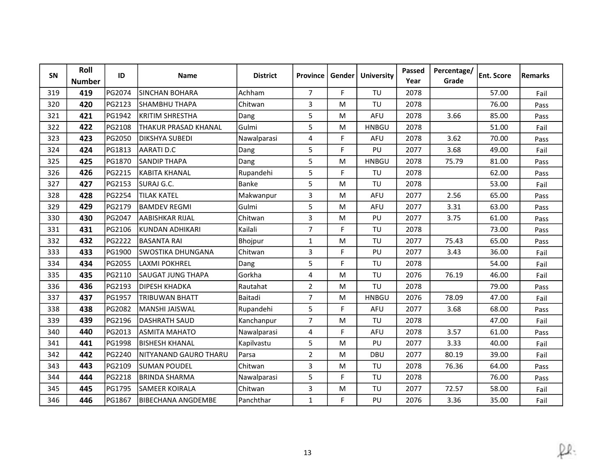| SN  | Roll<br><b>Number</b> | ID     | <b>Name</b>               | <b>District</b> | <b>Province</b> | Gender | <b>University</b> | Passed<br>Year | Percentage/<br>Grade | <b>Ent. Score</b> | Remarks |
|-----|-----------------------|--------|---------------------------|-----------------|-----------------|--------|-------------------|----------------|----------------------|-------------------|---------|
| 319 | 419                   | PG2074 | <b>SINCHAN BOHARA</b>     | Achham          | $\overline{7}$  | F      | TU                | 2078           |                      | 57.00             | Fail    |
| 320 | 420                   | PG2123 | SHAMBHU THAPA             | Chitwan         | 3               | M      | TU                | 2078           |                      | 76.00             | Pass    |
| 321 | 421                   | PG1942 | KRITIM SHRESTHA           | Dang            | 5               | M      | <b>AFU</b>        | 2078           | 3.66                 | 85.00             | Pass    |
| 322 | 422                   | PG2108 | THAKUR PRASAD KHANAL      | Gulmi           | 5               | M      | <b>HNBGU</b>      | 2078           |                      | 51.00             | Fail    |
| 323 | 423                   | PG2050 | DIKSHYA SUBEDI            | Nawalparasi     | 4               | F      | AFU               | 2078           | 3.62                 | 70.00             | Pass    |
| 324 | 424                   | PG1813 | <b>AARATI D.C</b>         | Dang            | 5               | F.     | PU                | 2077           | 3.68                 | 49.00             | Fail    |
| 325 | 425                   | PG1870 | <b>SANDIP THAPA</b>       | Dang            | 5               | M      | <b>HNBGU</b>      | 2078           | 75.79                | 81.00             | Pass    |
| 326 | 426                   | PG2215 | KABITA KHANAL             | Rupandehi       | 5               | F      | TU                | 2078           |                      | 62.00             | Pass    |
| 327 | 427                   | PG2153 | SURAJ G.C.                | Banke           | 5               | M      | TU                | 2078           |                      | 53.00             | Fail    |
| 328 | 428                   | PG2254 | <b>TILAK KATEL</b>        | Makwanpur       | 3               | M      | AFU               | 2077           | 2.56                 | 65.00             | Pass    |
| 329 | 429                   | PG2179 | <b>BAMDEV REGMI</b>       | Gulmi           | 5               | M      | <b>AFU</b>        | 2077           | 3.31                 | 63.00             | Pass    |
| 330 | 430                   | PG2047 | laabishkar rijal          | Chitwan         | 3               | M      | PU                | 2077           | 3.75                 | 61.00             | Pass    |
| 331 | 431                   | PG2106 | KUNDAN ADHIKARI           | Kailali         | $\overline{7}$  | F      | TU                | 2078           |                      | 73.00             | Pass    |
| 332 | 432                   | PG2222 | <b>BASANTA RAI</b>        | Bhojpur         | $\mathbf{1}$    | M      | TU                | 2077           | 75.43                | 65.00             | Pass    |
| 333 | 433                   | PG1900 | lswostika dhungana        | Chitwan         | 3               | F.     | PU                | 2077           | 3.43                 | 36.00             | Fail    |
| 334 | 434                   | PG2055 | LAXMI POKHREL             | Dang            | 5               | F.     | TU                | 2078           |                      | 54.00             | Fail    |
| 335 | 435                   | PG2110 | SAUGAT JUNG THAPA         | Gorkha          | 4               | M      | TU                | 2076           | 76.19                | 46.00             | Fail    |
| 336 | 436                   | PG2193 | <b>DIPESH KHADKA</b>      | Rautahat        | $\overline{2}$  | M      | TU                | 2078           |                      | 79.00             | Pass    |
| 337 | 437                   | PG1957 | <b>TRIBUWAN BHATT</b>     | Baitadi         | $\overline{7}$  | M      | <b>HNBGU</b>      | 2076           | 78.09                | 47.00             | Fail    |
| 338 | 438                   | PG2082 | MANSHI JAISWAL            | Rupandehi       | 5               | F.     | <b>AFU</b>        | 2077           | 3.68                 | 68.00             | Pass    |
| 339 | 439                   | PG2196 | <b>DASHRATH SAUD</b>      | Kanchanpur      | $\overline{7}$  | M      | TU                | 2078           |                      | 47.00             | Fail    |
| 340 | 440                   | PG2013 | <b>ASMITA MAHATO</b>      | Nawalparasi     | $\overline{4}$  | F      | AFU               | 2078           | 3.57                 | 61.00             | Pass    |
| 341 | 441                   | PG1998 | <b>BISHESH KHANAL</b>     | Kapilvastu      | 5               | M      | PU                | 2077           | 3.33                 | 40.00             | Fail    |
| 342 | 442                   | PG2240 | NITYANAND GAURO THARU     | Parsa           | $\overline{2}$  | M      | <b>DBU</b>        | 2077           | 80.19                | 39.00             | Fail    |
| 343 | 443                   | PG2109 | <b>SUMAN POUDEL</b>       | Chitwan         | 3               | M      | TU                | 2078           | 76.36                | 64.00             | Pass    |
| 344 | 444                   | PG2218 | <b>BRINDA SHARMA</b>      | Nawalparasi     | 5               | F.     | TU                | 2078           |                      | 76.00             | Pass    |
| 345 | 445                   | PG1795 | lsameer koirala           | Chitwan         | 3               | M      | TU                | 2077           | 72.57                | 58.00             | Fail    |
| 346 | 446                   | PG1867 | <b>BIBECHANA ANGDEMBE</b> | Panchthar       | $\mathbf{1}$    | F      | PU                | 2076           | 3.36                 | 35.00             | Fail    |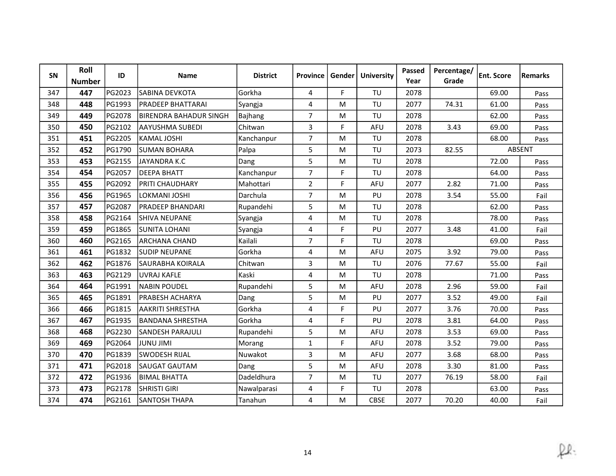| SN  | Roll<br><b>Number</b> | ID            | <b>Name</b>              | <b>District</b> | <b>Province</b> | Gender | <b>University</b> | Passed<br>Year | Percentage/<br>Grade | <b>Ent. Score</b> | Remarks |
|-----|-----------------------|---------------|--------------------------|-----------------|-----------------|--------|-------------------|----------------|----------------------|-------------------|---------|
| 347 | 447                   | PG2023        | SABINA DEVKOTA           | Gorkha          | 4               | F      | TU                | 2078           |                      | 69.00             | Pass    |
| 348 | 448                   | PG1993        | <b>PRADEEP BHATTARAI</b> | Syangja         | $\overline{4}$  | M      | TU                | 2077           | 74.31                | 61.00             | Pass    |
| 349 | 449                   | PG2078        | BIRENDRA BAHADUR SINGH   | Bajhang         | $\overline{7}$  | M      | TU                | 2078           |                      | 62.00             | Pass    |
| 350 | 450                   | PG2102        | AAYUSHMA SUBEDI          | Chitwan         | 3               | F.     | <b>AFU</b>        | 2078           | 3.43                 | 69.00             | Pass    |
| 351 | 451                   | PG2205        | KAMAL JOSHI              | Kanchanpur      | $\overline{7}$  | M      | TU                | 2078           |                      | 68.00             | Pass    |
| 352 | 452                   | PG1790        | <b>SUMAN BOHARA</b>      | Palpa           | 5               | M      | TU                | 2073           | 82.55                |                   | ABSENT  |
| 353 | 453                   | PG2155        | JAYANDRA K.C             | Dang            | 5               | M      | TU                | 2078           |                      | 72.00             | Pass    |
| 354 | 454                   | PG2057        | <b>DEEPA BHATT</b>       | Kanchanpur      | $\overline{7}$  | F.     | TU                | 2078           |                      | 64.00             | Pass    |
| 355 | 455                   | PG2092        | PRITI CHAUDHARY          | Mahottari       | $\overline{2}$  | F.     | <b>AFU</b>        | 2077           | 2.82                 | 71.00             | Pass    |
| 356 | 456                   | PG1965        | LOKMANI JOSHI            | Darchula        | $\overline{7}$  | M      | PU                | 2078           | 3.54                 | 55.00             | Fail    |
| 357 | 457                   | <b>PG2087</b> | PRADEEP BHANDARI         | Rupandehi       | 5               | M      | TU                | 2078           |                      | 62.00             | Pass    |
| 358 | 458                   | PG2164        | <b>SHIVA NEUPANE</b>     | Syangja         | 4               | м      | TU                | 2078           |                      | 78.00             | Pass    |
| 359 | 459                   | PG1865        | <b>ISUNITA LOHANI</b>    | Syangja         | 4               | F.     | PU                | 2077           | 3.48                 | 41.00             | Fail    |
| 360 | 460                   | PG2165        | IARCHANA CHAND           | Kailali         | $\overline{7}$  | F      | TU                | 2078           |                      | 69.00             | Pass    |
| 361 | 461                   | PG1832        | ISUDIP NEUPANE           | Gorkha          | 4               | M      | AFU               | 2075           | 3.92                 | 79.00             | Pass    |
| 362 | 462                   | PG1876        | <b>SAURABHA KOIRALA</b>  | Chitwan         | 3               | M      | TU                | 2076           | 77.67                | 55.00             | Fail    |
| 363 | 463                   | PG2129        | <b>UVRAJ KAFLE</b>       | Kaski           | 4               | M      | TU                | 2078           |                      | 71.00             | Pass    |
| 364 | 464                   | PG1991        | NABIN POUDEL             | Rupandehi       | 5               | M      | <b>AFU</b>        | 2078           | 2.96                 | 59.00             | Fail    |
| 365 | 465                   | PG1891        | IPRABESH ACHARYA         | Dang            | 5               | M      | PU                | 2077           | 3.52                 | 49.00             | Fail    |
| 366 | 466                   | PG1815        | <b>AAKRITI SHRESTHA</b>  | Gorkha          | 4               | F      | PU                | 2077           | 3.76                 | 70.00             | Pass    |
| 367 | 467                   | PG1935        | <b>BANDANA SHRESTHA</b>  | Gorkha          | 4               | F      | PU                | 2078           | 3.81                 | 64.00             | Pass    |
| 368 | 468                   | PG2230        | SANDESH PARAJULI         | Rupandehi       | 5               | M      | <b>AFU</b>        | 2078           | 3.53                 | 69.00             | Pass    |
| 369 | 469                   | PG2064        | <b>IMIL UNUL</b>         | Morang          | $\mathbf{1}$    | F.     | AFU               | 2078           | 3.52                 | 79.00             | Pass    |
| 370 | 470                   | PG1839        | <b>SWODESH RIJAL</b>     | Nuwakot         | 3               | M      | AFU               | 2077           | 3.68                 | 68.00             | Pass    |
| 371 | 471                   | PG2018        | SAUGAT GAUTAM            | Dang            | 5               | M      | AFU               | 2078           | 3.30                 | 81.00             | Pass    |
| 372 | 472                   | PG1936        | <b>BIMAL BHATTA</b>      | Dadeldhura      | $\overline{7}$  | M      | TU                | 2077           | 76.19                | 58.00             | Fail    |
| 373 | 473                   | PG2178        | <b>SHRISTI GIRI</b>      | Nawalparasi     | 4               | F      | TU                | 2078           |                      | 63.00             | Pass    |
| 374 | 474                   | PG2161        | <b>SANTOSH THAPA</b>     | Tanahun         | 4               | M      | <b>CBSE</b>       | 2077           | 70.20                | 40.00             | Fail    |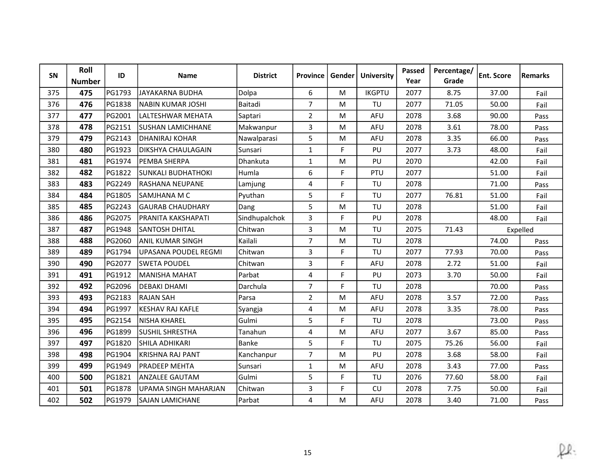| SN  | Roll<br><b>Number</b> | ID            | <b>Name</b>               | <b>District</b> | <b>Province</b> | Gender | <b>University</b> | Passed<br>Year | Percentage/<br>Grade | <b>Ent. Score</b> | Remarks  |
|-----|-----------------------|---------------|---------------------------|-----------------|-----------------|--------|-------------------|----------------|----------------------|-------------------|----------|
| 375 | 475                   | PG1793        | JAYAKARNA BUDHA           | Dolpa           | 6               | M      | <b>IKGPTU</b>     | 2077           | 8.75                 | 37.00             | Fail     |
| 376 | 476                   | PG1838        | NABIN KUMAR JOSHI         | Baitadi         | $\overline{7}$  | M      | TU                | 2077           | 71.05                | 50.00             | Fail     |
| 377 | 477                   | PG2001        | llalteshwar mehata        | Saptari         | $\overline{2}$  | M      | AFU               | 2078           | 3.68                 | 90.00             | Pass     |
| 378 | 478                   | PG2151        | <b>SUSHAN LAMICHHANE</b>  | Makwanpur       | 3               | M      | AFU               | 2078           | 3.61                 | 78.00             | Pass     |
| 379 | 479                   | PG2143        | DHANIRAJ KOHAR            | Nawalparasi     | 5               | M      | AFU               | 2078           | 3.35                 | 66.00             | Pass     |
| 380 | 480                   | PG1923        | IDIKSHYA CHAULAGAIN       | Sunsari         | $\mathbf{1}$    | F.     | PU                | 2077           | 3.73                 | 48.00             | Fail     |
| 381 | 481                   | PG1974        | PEMBA SHERPA              | Dhankuta        | $\mathbf{1}$    | M      | PU                | 2070           |                      | 42.00             | Fail     |
| 382 | 482                   | PG1822        | <b>SUNKALI BUDHATHOKI</b> | Humla           | 6               | F      | PTU               | 2077           |                      | 51.00             | Fail     |
| 383 | 483                   | PG2249        | lRASHANA NEUPANE          | Lamjung         | 4               | F      | TU                | 2078           |                      | 71.00             | Pass     |
| 384 | 484                   | PG1805        | SAMJHANA M C              | Pyuthan         | 5               | F      | TU                | 2077           | 76.81                | 51.00             | Fail     |
| 385 | 485                   | PG2243        | <b>GAURAB CHAUDHARY</b>   | Dang            | 5               | M      | TU                | 2078           |                      | 51.00             | Fail     |
| 386 | 486                   | PG2075        | IPRANITA KAKSHAPATI       | Sindhupalchok   | 3               | F.     | PU                | 2078           |                      | 48.00             | Fail     |
| 387 | 487                   | PG1948        | SANTOSH DHITAL            | Chitwan         | 3               | M      | TU                | 2075           | 71.43                |                   | Expelled |
| 388 | 488                   | PG2060        | <b>ANIL KUMAR SINGH</b>   | Kailali         | $\overline{7}$  | м      | TU                | 2078           |                      | 74.00             | Pass     |
| 389 | 489                   | <b>PG1794</b> | lUPASANA POUDEL REGMI     | Chitwan         | 3               | F      | TU                | 2077           | 77.93                | 70.00             | Pass     |
| 390 | 490                   | PG2077        | <b>SWETA POUDEL</b>       | Chitwan         | 3               | F.     | AFU               | 2078           | 2.72                 | 51.00             | Fail     |
| 391 | 491                   | PG1912        | lMANISHA MAHAT            | Parbat          | 4               | F      | PU                | 2073           | 3.70                 | 50.00             | Fail     |
| 392 | 492                   | PG2096        | <b>DEBAKI DHAMI</b>       | Darchula        | $\overline{7}$  | F.     | TU                | 2078           |                      | 70.00             | Pass     |
| 393 | 493                   | PG2183        | IRAJAN SAH                | Parsa           | $\overline{2}$  | M      | AFU               | 2078           | 3.57                 | 72.00             | Pass     |
| 394 | 494                   | PG1997        | KESHAV RAJ KAFLE          | Syangja         | 4               | M      | AFU               | 2078           | 3.35                 | 78.00             | Pass     |
| 395 | 495                   | PG2154        | NISHA KHAREL              | Gulmi           | 5               | F      | TU                | 2078           |                      | 73.00             | Pass     |
| 396 | 496                   | PG1899        | <b>SUSHIL SHRESTHA</b>    | Tanahun         | 4               | M      | <b>AFU</b>        | 2077           | 3.67                 | 85.00             | Pass     |
| 397 | 497                   | PG1820        | SHILA ADHIKARI            | <b>Banke</b>    | 5               | F      | TU                | 2075           | 75.26                | 56.00             | Fail     |
| 398 | 498                   | PG1904        | KRISHNA RAJ PANT          | Kanchanpur      | $\overline{7}$  | M      | PU                | 2078           | 3.68                 | 58.00             | Fail     |
| 399 | 499                   | PG1949        | <b>PRADEEP MEHTA</b>      | Sunsari         | $\mathbf{1}$    | M      | <b>AFU</b>        | 2078           | 3.43                 | 77.00             | Pass     |
| 400 | 500                   | PG1821        | <b>ANZALEE GAUTAM</b>     | Gulmi           | 5               | F      | TU                | 2076           | 77.60                | 58.00             | Fail     |
| 401 | 501                   | PG1878        | UPAMA SINGH MAHARJAN      | Chitwan         | 3               | F      | CU                | 2078           | 7.75                 | 50.00             | Fail     |
| 402 | 502                   | PG1979        | <b>SAJAN LAMICHANE</b>    | Parbat          | 4               | M      | <b>AFU</b>        | 2078           | 3.40                 | 71.00             | Pass     |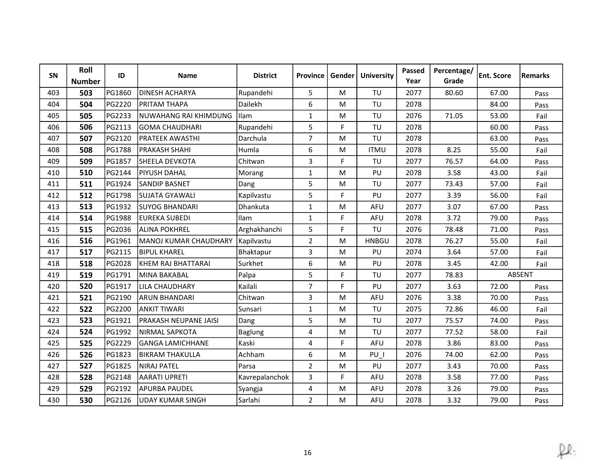| SN  | Roll<br><b>Number</b> | ID            | <b>Name</b>                  | <b>District</b> | <b>Province</b> | Gender    | <b>University</b> | Passed<br>Year | Percentage/<br>Grade | <b>Ent. Score</b> | <b>Remarks</b> |
|-----|-----------------------|---------------|------------------------------|-----------------|-----------------|-----------|-------------------|----------------|----------------------|-------------------|----------------|
| 403 | 503                   | PG1860        | <b>DINESH ACHARYA</b>        | Rupandehi       | 5               | M         | TU                | 2077           | 80.60                | 67.00             | Pass           |
| 404 | 504                   | PG2220        | <b>PRITAM THAPA</b>          | Dailekh         | 6               | M         | TU                | 2078           |                      | 84.00             | Pass           |
| 405 | 505                   | PG2233        | NUWAHANG RAI KHIMDUNG        | Ilam            | $\mathbf{1}$    | M         | TU                | 2076           | 71.05                | 53.00             | Fail           |
| 406 | 506                   | PG2113        | <b>IGOMA CHAUDHARI</b>       | Rupandehi       | 5               | F         | TU                | 2078           |                      | 60.00             | Pass           |
| 407 | 507                   | PG2120        | <b>PRATEEK AWASTHI</b>       | Darchula        | $\overline{7}$  | ${\sf M}$ | TU                | 2078           |                      | 63.00             | Pass           |
| 408 | 508                   | PG1788        | <b>PRAKASH SHAHI</b>         | Humla           | 6               | M         | <b>ITMU</b>       | 2078           | 8.25                 | 55.00             | Fail           |
| 409 | 509                   | PG1857        | <b>SHEELA DEVKOTA</b>        | Chitwan         | 3               | F         | TU                | 2077           | 76.57                | 64.00             | Pass           |
| 410 | 510                   | PG2144        | <b>PIYUSH DAHAL</b>          | Morang          | $\mathbf{1}$    | M         | PU                | 2078           | 3.58                 | 43.00             | Fail           |
| 411 | 511                   | PG1924        | <b>SANDIP BASNET</b>         | Dang            | 5               | M         | TU                | 2077           | 73.43                | 57.00             | Fail           |
| 412 | 512                   | PG1798        | <b>SUJATA GYAWALI</b>        | Kapilvastu      | 5               | F.        | PU                | 2077           | 3.39                 | 56.00             | Fail           |
| 413 | 513                   | PG1932        | <b>SUYOG BHANDARI</b>        | Dhankuta        | $\mathbf{1}$    | M         | AFU               | 2077           | 3.07                 | 67.00             | Pass           |
| 414 | 514                   | PG1988        | <b>EUREKA SUBEDI</b>         | Ilam            | $\mathbf{1}$    | F.        | AFU               | 2078           | 3.72                 | 79.00             | Pass           |
| 415 | 515                   | PG2036        | <b>ALINA POKHREL</b>         | Arghakhanchi    | 5               | F         | TU                | 2076           | 78.48                | 71.00             | Pass           |
| 416 | 516                   | PG1961        | İMANOJ KUMAR CHAUDHARY       | Kapilvastu      | $\overline{2}$  | M         | <b>HNBGU</b>      | 2078           | 76.27                | 55.00             | Fail           |
| 417 | 517                   | PG2115        | <b>BIPUL KHAREL</b>          | Bhaktapur       | 3               | M         | PU                | 2074           | 3.64                 | 57.00             | Fail           |
| 418 | 518                   | PG2028        | KHEM RAJ BHATTARAI           | Surkhet         | 6               | M         | PU                | 2078           | 3.45                 | 42.00             | Fail           |
| 419 | 519                   | PG1791        | MINA BAKABAL                 | Palpa           | 5               | F.        | TU                | 2077           | 78.83                |                   | ABSENT         |
| 420 | 520                   | PG1917        | LILA CHAUDHARY               | Kailali         | $\overline{7}$  | F         | PU                | 2077           | 3.63                 | 72.00             | Pass           |
| 421 | 521                   | PG2190        | ARUN BHANDARI                | Chitwan         | 3               | M         | <b>AFU</b>        | 2076           | 3.38                 | 70.00             | Pass           |
| 422 | 522                   | PG2200        | <b>ANKIT TIWARI</b>          | Sunsari         | $\mathbf{1}$    | M         | TU                | 2075           | 72.86                | 46.00             | Fail           |
| 423 | 523                   | PG1921        | <b>PRAKASH NEUPANE JAISI</b> | Dang            | 5               | M         | TU                | 2077           | 75.57                | 74.00             | Pass           |
| 424 | 524                   | PG1992        | NIRMAL SAPKOTA               | Baglung         | 4               | M         | TU                | 2077           | 77.52                | 58.00             | Fail           |
| 425 | 525                   | <b>PG2229</b> | lGANGA LAMICHHANE            | Kaski           | 4               | F         | <b>AFU</b>        | 2078           | 3.86                 | 83.00             | Pass           |
| 426 | 526                   | PG1823        | <b>BIKRAM THAKULLA</b>       | Achham          | 6               | M         | PU I              | 2076           | 74.00                | 62.00             | Pass           |
| 427 | 527                   | PG1825        | <b>NIRAJ PATEL</b>           | Parsa           | $\overline{2}$  | M         | PU                | 2077           | 3.43                 | 70.00             | Pass           |
| 428 | 528                   | PG2148        | <b>AARATI UPRETI</b>         | Kavrepalanchok  | 3               | F.        | <b>AFU</b>        | 2078           | 3.58                 | 77.00             | Pass           |
| 429 | 529                   | PG2192        | <b>APURBA PAUDEL</b>         | Syangja         | 4               | M         | <b>AFU</b>        | 2078           | 3.26                 | 79.00             | Pass           |
| 430 | 530                   | PG2126        | UDAY KUMAR SINGH             | Sarlahi         | $\overline{2}$  | M         | AFU               | 2078           | 3.32                 | 79.00             | Pass           |